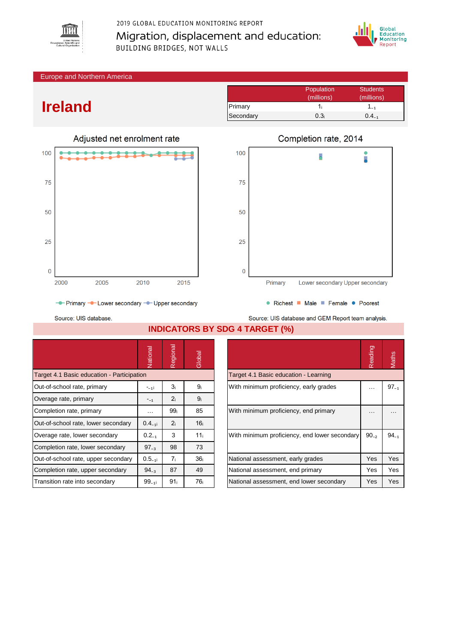

2019 GLOBAL EDUCATION MONITORING REPORT Migration, displacement and education: **BUILDING BRIDGES, NOT WALLS** 



Europe and Northern America

## **Ireland**



## Population Students<br>
(millions) (millions) (millions) (millions) Primary 1i 1<sub>i</sub> 1<sub>-1</sub> Secondary  $0.3<sub>i</sub>$  0.4 $<sub>-1</sub>$ </sub>



Source: UIS database.

**INDICATORS BY SDG 4 TARGET (%)**

|                                            | Vational    | Regional        | Global          |  |                                               | eading<br>$\sim$ | Maths     |
|--------------------------------------------|-------------|-----------------|-----------------|--|-----------------------------------------------|------------------|-----------|
| Target 4.1 Basic education - Participation |             |                 |                 |  | Target 4.1 Basic education - Learning         |                  |           |
| Out-of-school rate, primary                | $-11$       | 3 <sub>i</sub>  | 9ì              |  | With minimum proficiency, early grades        |                  | $97_{-1}$ |
| Overage rate, primary                      | $-1$        | 2 <sub>i</sub>  | 9 <sub>i</sub>  |  |                                               |                  |           |
| Completion rate, primary                   | $\cdots$    | 99 <sub>i</sub> | 85              |  | With minimum proficiency, end primary         |                  | $\cdots$  |
| Out-of-school rate, lower secondary        | $0.4_{-11}$ | 2 <sub>i</sub>  | 16 <sub>i</sub> |  |                                               |                  |           |
| Overage rate, lower secondary              | $0.2_{-1}$  | 3               | 11 <sub>i</sub> |  | With minimum proficiency, end lower secondary |                  | $94_{-1}$ |
| Completion rate, lower secondary           | $97_{-3}$   | 98              | 73              |  |                                               |                  |           |
| Out-of-school rate, upper secondary        | $0.5_{-11}$ | 7 <sub>i</sub>  | 36 <sub>i</sub> |  | National assessment, early grades             | Yes              | Yes       |
| Completion rate, upper secondary           | $94_{-3}$   | 87              | 49              |  | National assessment, end primary              | Yes              | Yes       |
| Transition rate into secondary             | $99_{-11}$  | 91 <sub>i</sub> | 76 <sub>i</sub> |  | National assessment, end lower secondary      | Yes              | Yes       |

|                                               | Reading   | <b>Maths</b> |
|-----------------------------------------------|-----------|--------------|
| Target 4.1 Basic education - Learning         |           |              |
| With minimum proficiency, early grades        |           | $97_{-1}$    |
| With minimum proficiency, end primary         |           |              |
| With minimum proficiency, end lower secondary | $90_{-2}$ | $94_{-1}$    |
| National assessment, early grades             | Yes       | Yes          |
| National assessment, end primary              | Yes       | Yes          |
| National assessment, end lower secondary      | Yes       | Yes          |

Source: UIS database and GEM Report team analysis.